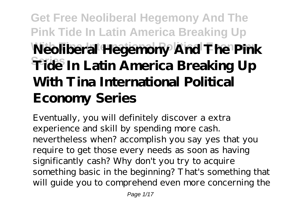# **Get Free Neoliberal Hegemony And The Pink Tide In Latin America Breaking Up With Tina International Political Economy Neoliberal Hegemony And The Pink Series Tide In Latin America Breaking Up With Tina International Political Economy Series**

Eventually, you will definitely discover a extra experience and skill by spending more cash. nevertheless when? accomplish you say yes that you require to get those every needs as soon as having significantly cash? Why don't you try to acquire something basic in the beginning? That's something that will guide you to comprehend even more concerning the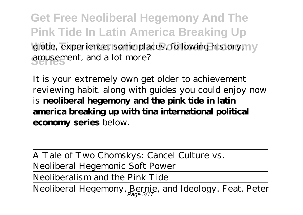**Get Free Neoliberal Hegemony And The Pink Tide In Latin America Breaking Up** globe, experience, some places, following history, my **Series** amusement, and a lot more?

It is your extremely own get older to achievement reviewing habit. along with guides you could enjoy now is **neoliberal hegemony and the pink tide in latin america breaking up with tina international political economy series** below.

A Tale of Two Chomskys: Cancel Culture vs. Neoliberal Hegemonic Soft Power Neoliberalism and the Pink Tide Neoliberal Hegemony, Bernie, and Ideology. Feat. Peter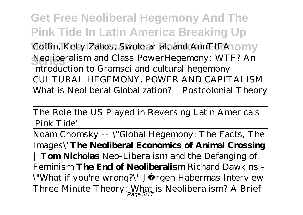**Get Free Neoliberal Hegemony And The Pink Tide In Latin America Breaking Up** Coffin, Kelly Zahos, Swoletariat, and AnnTIFA10MY **Series** Neoliberalism and Class Power*Hegemony: WTF? An introduction to Gramsci and cultural hegemony* CULTURAL HEGEMONY, POWER AND CAPITALISM What is Neoliberal Globalization? | Postcolonial Theory

The Role the US Played in Reversing Latin America's 'Pink Tide'

Noam Chomsky -- \"Global Hegemony: The Facts, The Images\"**The Neoliberal Economics of Animal Crossing | Tom Nicholas** *Neo-Liberalism and the Defanging of Feminism* **The End of Neoliberalism** Richard Dawkins - \"What if you're wrong?\" Jürgen Habermas Interview *Three Minute Theory: What is Neoliberalism? A Brief* Page 3/17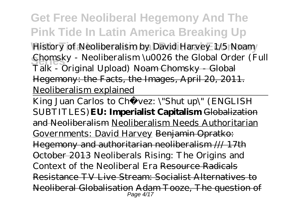### **Get Free Neoliberal Hegemony And The Pink Tide In Latin America Breaking Up**

**With Tina International Political Economy** *History of Neoliberalism by David Harvey 1/5 Noam Chomsky - Neoliberalism \u0026 the Global Order (Full Talk - Original Upload)* Noam Chomsky - Global Hegemony: the Facts, the Images, April 20, 2011. Neoliberalism explained

King Juan Carlos to Chávez: \"Shut up\" (ENGLISH SUBTITLES)**EU: Imperialist Capitalism** Globalization and Neoliberalism Neoliberalism Needs Authoritarian Governments: David Harvey Benjamin Opratko: Hegemony and authoritarian neoliberalism /// 17th October 2013 Neoliberals Rising: The Origins and Context of the Neoliberal Era Resource Radicals Resistance TV Live Stream: Socialist Alternatives to Neoliberal Globalisation Adam Tooze, The question of Page 4/17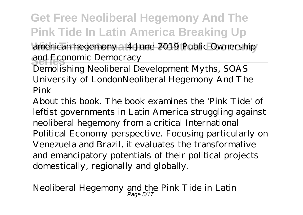**Get Free Neoliberal Hegemony And The Pink Tide In Latin America Breaking Up** american hegemony - 4 June 2019 Public Ownership and Economic Democracy

Demolishing Neoliberal Development Myths, SOAS University of London*Neoliberal Hegemony And The Pink*

About this book. The book examines the 'Pink Tide' of leftist governments in Latin America struggling against neoliberal hegemony from a critical International Political Economy perspective. Focusing particularly on Venezuela and Brazil, it evaluates the transformative and emancipatory potentials of their political projects domestically, regionally and globally.

*Neoliberal Hegemony and the Pink Tide in Latin* Page 5/17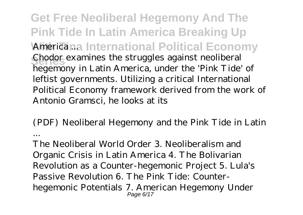**Get Free Neoliberal Hegemony And The Pink Tide In Latin America Breaking Up** *Americana International Political Economy* Chodor examines the struggles against neoliberal<br> **Legacy in Latin America** under the 'Dinh Tide hegemony in Latin America, under the 'Pink Tide' of leftist governments. Utilizing a critical International Political Economy framework derived from the work of Antonio Gramsci, he looks at its

*(PDF) Neoliberal Hegemony and the Pink Tide in Latin ...*

The Neoliberal World Order 3. Neoliberalism and Organic Crisis in Latin America 4. The Bolivarian Revolution as a Counter-hegemonic Project 5. Lula's Passive Revolution 6. The Pink Tide: Counterhegemonic Potentials 7. American Hegemony Under Page 6/17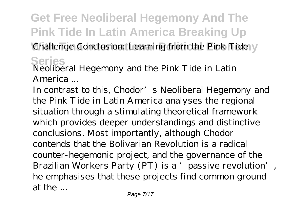## **Get Free Neoliberal Hegemony And The Pink Tide In Latin America Breaking Up** Challenge Conclusion: Learning from the Pink Tide y

#### **Series** *Neoliberal Hegemony and the Pink Tide in Latin America ...*

In contrast to this, Chodor's Neoliberal Hegemony and the Pink Tide in Latin America analyses the regional situation through a stimulating theoretical framework which provides deeper understandings and distinctive conclusions. Most importantly, although Chodor contends that the Bolivarian Revolution is a radical counter-hegemonic project, and the governance of the Brazilian Workers Party (PT) is a 'passive revolution', he emphasises that these projects find common ground at the ...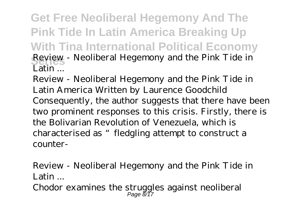**Get Free Neoliberal Hegemony And The Pink Tide In Latin America Breaking Up With Tina International Political Economy Series** *Review - Neoliberal Hegemony and the Pink Tide in Latin ...*

Review - Neoliberal Hegemony and the Pink Tide in Latin America Written by Laurence Goodchild Consequently, the author suggests that there have been two prominent responses to this crisis. Firstly, there is the Bolivarian Revolution of Venezuela, which is characterised as "fledgling attempt to construct a counter-

*Review - Neoliberal Hegemony and the Pink Tide in Latin ...* Chodor examines the struggles against neoliberal Page 8/17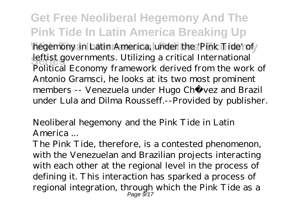**Get Free Neoliberal Hegemony And The Pink Tide In Latin America Breaking Up** hegemony in Latin America, under the 'Pink Tide' of **Seftist governments. Utilizing a critical International** Political Economy framework derived from the work of Antonio Gramsci, he looks at its two most prominent members -- Venezuela under Hugo Chávez and Brazil under Lula and Dilma Rousseff.--Provided by publisher.

*Neoliberal hegemony and the Pink Tide in Latin America ...*

The Pink Tide, therefore, is a contested phenomenon, with the Venezuelan and Brazilian projects interacting with each other at the regional level in the process of defining it. This interaction has sparked a process of regional integration, through which the Pink Tide as a Page 9/17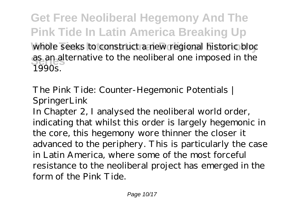**Get Free Neoliberal Hegemony And The Pink Tide In Latin America Breaking Up** whole seeks to construct a new regional historic bloc as an alternative to the neoliberal one imposed in the 1990s.

### *The Pink Tide: Counter-Hegemonic Potentials | SpringerLink*

In Chapter 2, I analysed the neoliberal world order, indicating that whilst this order is largely hegemonic in the core, this hegemony wore thinner the closer it advanced to the periphery. This is particularly the case in Latin America, where some of the most forceful resistance to the neoliberal project has emerged in the form of the Pink Tide.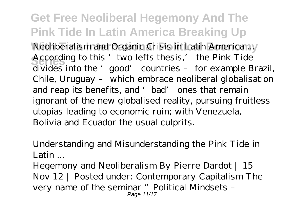**Get Free Neoliberal Hegemony And The Pink Tide In Latin America Breaking Up** *Neoliberalism and Organic Crisis in Latin America ...* According to this 'two lefts thesis,' the Pink Tide divides into the 'good' countries – for example Brazil, Chile, Uruguay – which embrace neoliberal globalisation and reap its benefits, and 'bad' ones that remain ignorant of the new globalised reality, pursuing fruitless utopias leading to economic ruin; with Venezuela, Bolivia and Ecuador the usual culprits.

*Understanding and Misunderstanding the Pink Tide in Latin ...*

Hegemony and Neoliberalism By Pierre Dardot | 15 Nov 12 | Posted under: Contemporary Capitalism The very name of the seminar "Political Mindsets – Page 11/17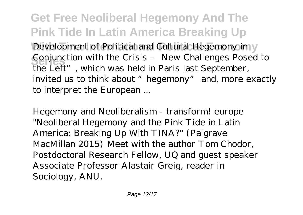**Get Free Neoliberal Hegemony And The Pink Tide In Latin America Breaking Up** Development of Political and Cultural Hegemony in y Conjunction with the Crisis – New Challenges Posed to the Left", which was held in Paris last September, invited us to think about "hegemony" and, more exactly to interpret the European ...

*Hegemony and Neoliberalism - transform! europe* "Neoliberal Hegemony and the Pink Tide in Latin America: Breaking Up With TINA?" (Palgrave MacMillan 2015) Meet with the author Tom Chodor, Postdoctoral Research Fellow, UQ and guest speaker Associate Professor Alastair Greig, reader in Sociology, ANU.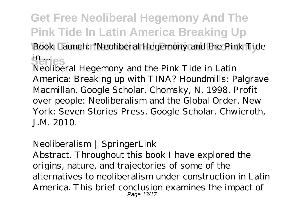## **Get Free Neoliberal Hegemony And The Pink Tide In Latin America Breaking Up With Tina International Political Economy** *Book Launch: "Neoliberal Hegemony and the Pink Tide* **Series** *in ...*

Neoliberal Hegemony and the Pink Tide in Latin America: Breaking up with TINA? Houndmills: Palgrave Macmillan. Google Scholar. Chomsky, N. 1998. Profit over people: Neoliberalism and the Global Order. New York: Seven Stories Press. Google Scholar. Chwieroth, J.M. 2010.

#### *Neoliberalism | SpringerLink*

Abstract. Throughout this book I have explored the origins, nature, and trajectories of some of the alternatives to neoliberalism under construction in Latin America. This brief conclusion examines the impact of Page 13/17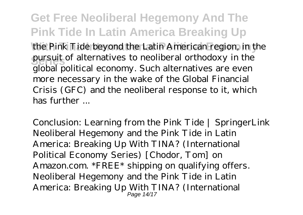**Get Free Neoliberal Hegemony And The Pink Tide In Latin America Breaking Up** the Pink Tide beyond the Latin American region, in the pursuit of alternatives to neoliberal orthodoxy in the global political economy. Such alternatives are even more necessary in the wake of the Global Financial Crisis (GFC) and the neoliberal response to it, which has further ...

*Conclusion: Learning from the Pink Tide | SpringerLink* Neoliberal Hegemony and the Pink Tide in Latin America: Breaking Up With TINA? (International Political Economy Series) [Chodor, Tom] on Amazon.com. \*FREE\* shipping on qualifying offers. Neoliberal Hegemony and the Pink Tide in Latin America: Breaking Up With TINA? (International Page 14/17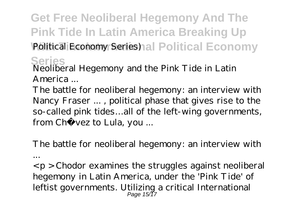**Get Free Neoliberal Hegemony And The Pink Tide In Latin America Breaking Up** Political Economy Series) al Political Economy

**Series** *Neoliberal Hegemony and the Pink Tide in Latin America ...*

The battle for neoliberal hegemony: an interview with Nancy Fraser ... , political phase that gives rise to the so-called pink tides…all of the left-wing governments, from Chá vez to Lula, you ...

*The battle for neoliberal hegemony: an interview with ...*

 $\langle p \rangle$  - Chodor examines the struggles against neoliberal hegemony in Latin America, under the 'Pink Tide' of leftist governments. Utilizing a critical International Page 15/17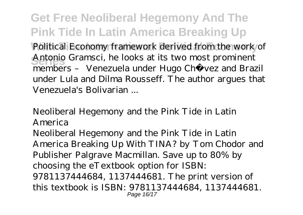**Get Free Neoliberal Hegemony And The Pink Tide In Latin America Breaking Up** Political Economy framework derived from the work of **Series** Antonio Gramsci, he looks at its two most prominent members – Venezuela under Hugo Chávez and Brazil under Lula and Dilma Rousseff. The author argues that Venezuela's Bolivarian ...

### *Neoliberal Hegemony and the Pink Tide in Latin America*

Neoliberal Hegemony and the Pink Tide in Latin America Breaking Up With TINA? by Tom Chodor and Publisher Palgrave Macmillan. Save up to 80% by choosing the eTextbook option for ISBN: 9781137444684, 1137444681. The print version of this textbook is ISBN: 9781137444684, 1137444681. Page 16/17